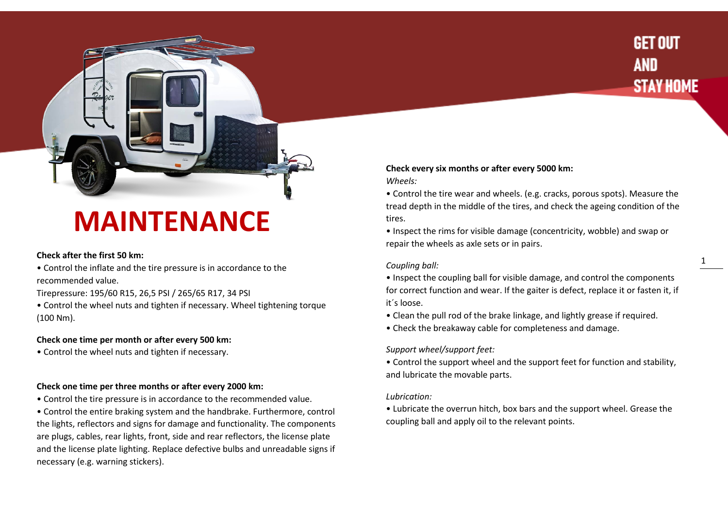# **GET OUT AND STAY HOME**

# **MAINTENANCE**

# **Check after the first 50 km:**

- Control the inflate and the tire pressure is in accordance to the recommended value.
- Tirepressure: 195/60 R15, 26,5 PSI / 265/65 R17, 34 PSI
- Control the wheel nuts and tighten if necessary. Wheel tightening torque (100 Nm).

# **Check one time per month or after every 500 km:**

• Control the wheel nuts and tighten if necessary.

# **Check one time per three months or after every 2000 km:**

• Control the tire pressure is in accordance to the recommended value.

• Control the entire braking system and the handbrake. Furthermore, control the lights, reflectors and signs for damage and functionality. The components are plugs, cables, rear lights, front, side and rear reflectors, the license plate and the license plate lighting. Replace defective bulbs and unreadable signs if necessary (e.g. warning stickers).

# **Check every six months or after every 5000 km:**

*Wheels:* 

• Control the tire wear and wheels. (e.g. cracks, porous spots). Measure the tread depth in the middle of the tires, and check the ageing condition of the tires.

• Inspect the rims for visible damage (concentricity, wobble) and swap or repair the wheels as axle sets or in pairs.

#### *Coupling ball:*

- Inspect the coupling ball for visible damage, and control the components for correct function and wear. If the gaiter is defect, replace it or fasten it, if it´s loose.
- Clean the pull rod of the brake linkage, and lightly grease if required.
- Check the breakaway cable for completeness and damage.

# *Support wheel/support feet:*

• Control the support wheel and the support feet for function and stability, and lubricate the movable parts.

# *Lubrication:*

• Lubricate the overrun hitch, box bars and the support wheel. Grease the coupling ball and apply oil to the relevant points.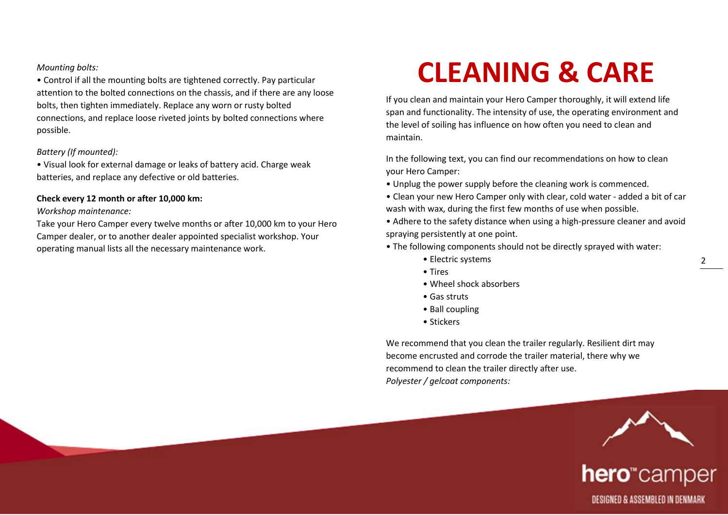### *Mounting bolts:*

• Control if all the mounting bolts are tightened correctly. Pay particular attention to the bolted connections on the chassis, and if there are any loose bolts, then tighten immediately. Replace any worn or rusty bolted connections, and replace loose riveted joints by bolted connections where possible.

#### *Battery (If mounted):*

• Visual look for external damage or leaks of battery acid. Charge weak batteries, and replace any defective or old batteries.

#### **Check every 12 month or after 10,000 km:**

#### *Workshop maintenance:*

Take your Hero Camper every twelve months or after 10,000 km to your Hero Camper dealer, or to another dealer appointed specialist workshop. Your operating manual lists all the necessary maintenance work.

# **CLEANING & CARE**

If you clean and maintain your Hero Camper thoroughly, it will extend life span and functionality. The intensity of use, the operating environment and the level of soiling has influence on how often you need to clean and maintain.

In the following text, you can find our recommendations on how to clean your Hero Camper:

- Unplug the power supply before the cleaning work is commenced.
- Clean your new Hero Camper only with clear, cold water added a bit of car wash with wax, during the first few months of use when possible.
- Adhere to the safety distance when using a high-pressure cleaner and avoid spraying persistently at one point.
- The following components should not be directly sprayed with water:
	- Electric systems
	- Tires
	- Wheel shock absorbers
	- Gas struts
	- Ball coupling
	- Stickers

We recommend that you clean the trailer regularly. Resilient dirt may become encrusted and corrode the trailer material, there why we recommend to clean the trailer directly after use. *Polyester / gelcoat components:*



hero"camper DESIGNED & ASSEMBLED IN DENMARK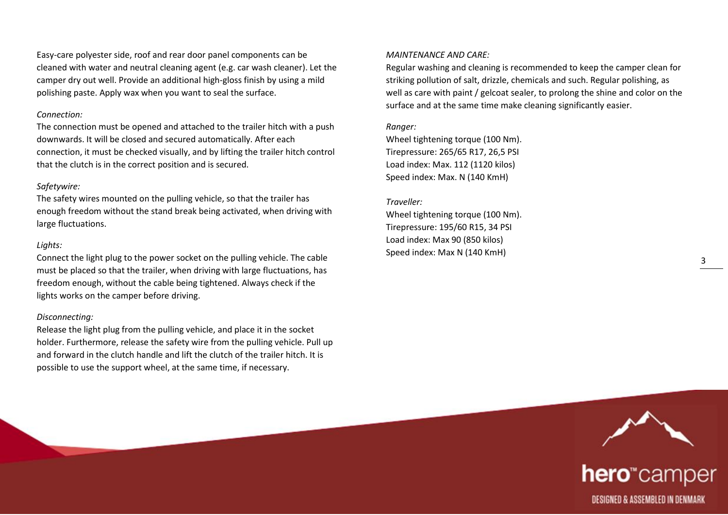Easy-care polyester side, roof and rear door panel components can be cleaned with water and neutral cleaning agent (e.g. car wash cleaner). Let the camper dry out well. Provide an additional high-gloss finish by using a mild polishing paste. Apply wax when you want to seal the surface.

#### *Connection:*

The connection must be opened and attached to the trailer hitch with a push downwards. It will be closed and secured automatically. After each connection, it must be checked visually, and by lifting the trailer hitch control that the clutch is in the correct position and is secured.

# *Safetywire:*

The safety wires mounted on the pulling vehicle, so that the trailer has enough freedom without the stand break being activated, when driving with large fluctuations.

# *Lights:*

Connect the light plug to the power socket on the pulling vehicle. The cable must be placed so that the trailer, when driving with large fluctuations, has freedom enough, without the cable being tightened. Always check if the lights works on the camper before driving.

# *Disconnecting:*

Release the light plug from the pulling vehicle, and place it in the socket holder. Furthermore, release the safety wire from the pulling vehicle. Pull up and forward in the clutch handle and lift the clutch of the trailer hitch. It is possible to use the support wheel, at the same time, if necessary.

#### *MAINTENANCE AND CARE:*

Regular washing and cleaning is recommended to keep the camper clean for striking pollution of salt, drizzle, chemicals and such. Regular polishing, as well as care with paint / gelcoat sealer, to prolong the shine and color on the surface and at the same time make cleaning significantly easier.

# *Ranger:*

Wheel tightening torque (100 Nm). Tirepressure: 265/65 R17, 26,5 PSI Load index: Max. 112 (1120 kilos) Speed index: Max. N (140 KmH)

#### *Traveller:*

Wheel tightening torque (100 Nm). Tirepressure: 195/60 R15, 34 PSI Load index: Max 90 (850 kilos) Speed index: Max N (140 KmH)



# hero<sup>"</sup>camper DESIGNED & ASSEMBLED IN DENMARK